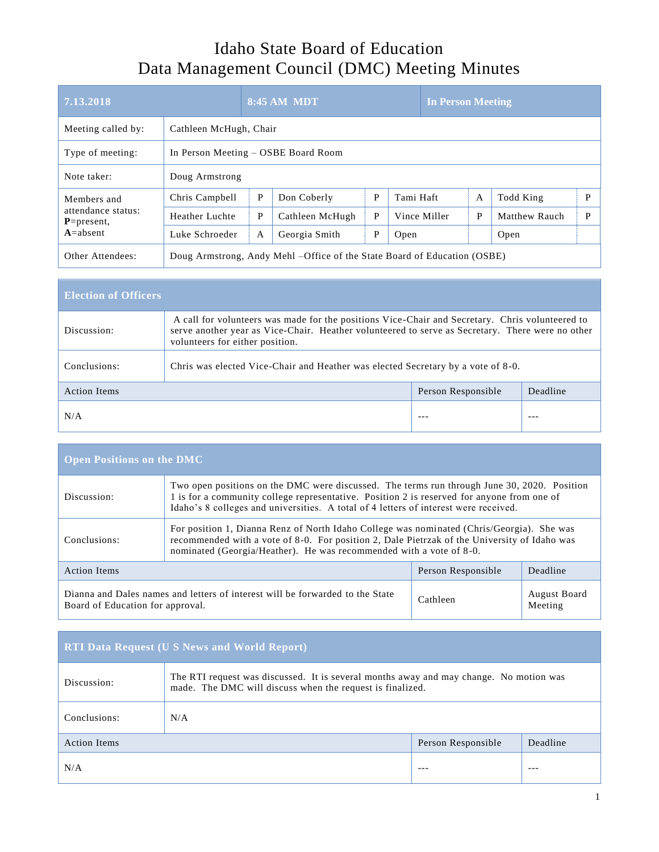## Idaho State Board of Education Data Management Council (DMC) Meeting Minutes

| 7.13.2018                                             |                                     |                        | <b>8:45 AM MDT</b>                                                        |   |              | <b>In Person Meeting</b> |                      |   |
|-------------------------------------------------------|-------------------------------------|------------------------|---------------------------------------------------------------------------|---|--------------|--------------------------|----------------------|---|
| Meeting called by:                                    |                                     | Cathleen McHugh, Chair |                                                                           |   |              |                          |                      |   |
| Type of meeting:                                      | In Person Meeting – OSBE Board Room |                        |                                                                           |   |              |                          |                      |   |
| Note taker:                                           | Doug Armstrong                      |                        |                                                                           |   |              |                          |                      |   |
| Members and                                           | Chris Campbell                      | P                      | Don Coberly                                                               | P | Tami Haft    | $\overline{A}$           | Todd King            | P |
| attendance status:<br>$P = present$ ,<br>$A = absent$ | Heather Luchte                      | P                      | Cathleen McHugh                                                           | P | Vince Miller | P                        | <b>Matthew Rauch</b> | P |
|                                                       | Luke Schroeder                      | A                      | Georgia Smith                                                             | P | Open         |                          | Open                 |   |
| Other Attendees:                                      |                                     |                        | Doug Armstrong, Andy Mehl – Office of the State Board of Education (OSBE) |   |              |                          |                      |   |

| <b>Election of Officers</b> |                                                                                                                                                                                                                                        |                    |          |  |  |
|-----------------------------|----------------------------------------------------------------------------------------------------------------------------------------------------------------------------------------------------------------------------------------|--------------------|----------|--|--|
| Discussion:                 | A call for volunteers was made for the positions Vice-Chair and Secretary. Chris volunteered to<br>serve another year as Vice-Chair. Heather volunteered to serve as Secretary. There were no other<br>volunteers for either position. |                    |          |  |  |
| Conclusions:                | Chris was elected Vice-Chair and Heather was elected Secretary by a vote of 8-0.                                                                                                                                                       |                    |          |  |  |
| <b>Action Items</b>         |                                                                                                                                                                                                                                        | Person Responsible | Deadline |  |  |
| N/A                         |                                                                                                                                                                                                                                        | $--$               | ---      |  |  |

| <b>Open Positions on the DMC</b>                                                                                  |                                                                                                                                                                                                                                                                                   |                    |                                |  |
|-------------------------------------------------------------------------------------------------------------------|-----------------------------------------------------------------------------------------------------------------------------------------------------------------------------------------------------------------------------------------------------------------------------------|--------------------|--------------------------------|--|
| Discussion:                                                                                                       | Two open positions on the DMC were discussed. The terms run through June 30, 2020. Position<br>1 is for a community college representative. Position 2 is reserved for anyone from one of<br>Idaho's 8 colleges and universities. A total of 4 letters of interest were received. |                    |                                |  |
| Conclusions:                                                                                                      | For position 1, Dianna Renz of North Idaho College was nominated (Chris/Georgia). She was<br>recommended with a vote of 8-0. For position 2, Dale Pietrzak of the University of Idaho was<br>nominated (Georgia/Heather). He was recommended with a vote of 8-0.                  |                    |                                |  |
| <b>Action Items</b>                                                                                               |                                                                                                                                                                                                                                                                                   | Person Responsible | Deadline                       |  |
| Dianna and Dales names and letters of interest will be forwarded to the State<br>Board of Education for approval. |                                                                                                                                                                                                                                                                                   | Cathleen           | <b>August Board</b><br>Meeting |  |

| <b>RTI Data Request (U S News and World Report)</b> |                                                                                                                                                     |                    |          |  |
|-----------------------------------------------------|-----------------------------------------------------------------------------------------------------------------------------------------------------|--------------------|----------|--|
| Discussion:                                         | The RTI request was discussed. It is several months away and may change. No motion was<br>made. The DMC will discuss when the request is finalized. |                    |          |  |
| Conclusions:                                        | N/A                                                                                                                                                 |                    |          |  |
| <b>Action Items</b>                                 |                                                                                                                                                     | Person Responsible | Deadline |  |
| N/A                                                 |                                                                                                                                                     | $--$               | ---      |  |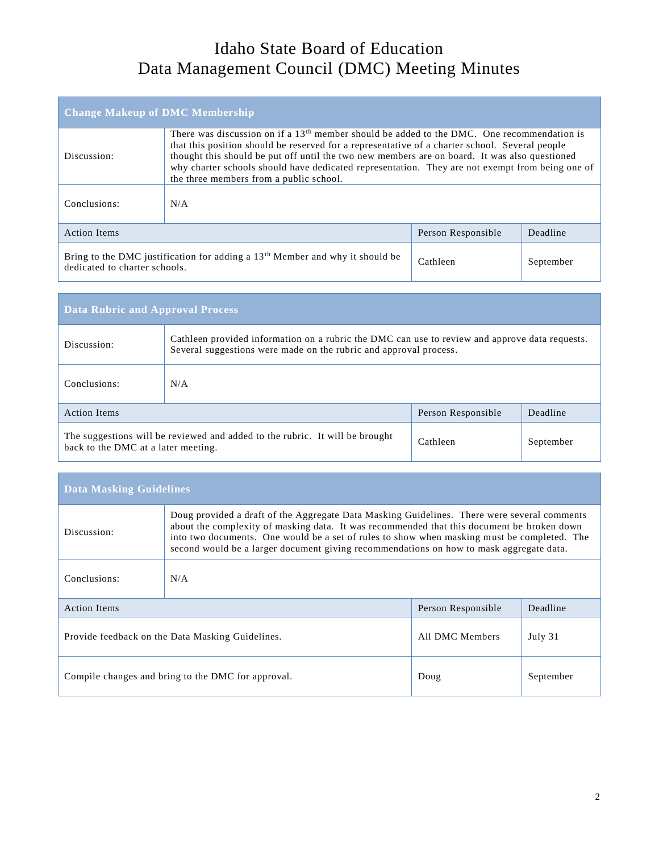## Idaho State Board of Education Data Management Council (DMC) Meeting Minutes

| <b>Change Makeup of DMC Membership</b>                                                                                                   |                                                                                                                                                                                                                                                                                                                                                                                                                                               |  |  |  |  |
|------------------------------------------------------------------------------------------------------------------------------------------|-----------------------------------------------------------------------------------------------------------------------------------------------------------------------------------------------------------------------------------------------------------------------------------------------------------------------------------------------------------------------------------------------------------------------------------------------|--|--|--|--|
| Discussion:                                                                                                                              | There was discussion on if a $13th$ member should be added to the DMC. One recommendation is<br>that this position should be reserved for a representative of a charter school. Several people<br>thought this should be put off until the two new members are on board. It was also questioned<br>why charter schools should have dedicated representation. They are not exempt from being one of<br>the three members from a public school. |  |  |  |  |
| Conclusions:                                                                                                                             | N/A                                                                                                                                                                                                                                                                                                                                                                                                                                           |  |  |  |  |
| Deadline<br><b>Action Items</b><br>Person Responsible                                                                                    |                                                                                                                                                                                                                                                                                                                                                                                                                                               |  |  |  |  |
| Bring to the DMC justification for adding a $13th$ Member and why it should be<br>Cathleen<br>September<br>dedicated to charter schools. |                                                                                                                                                                                                                                                                                                                                                                                                                                               |  |  |  |  |

| <b>Data Rubric and Approval Process</b>                                                                                                      |                                                                                                                                                                     |  |  |  |  |
|----------------------------------------------------------------------------------------------------------------------------------------------|---------------------------------------------------------------------------------------------------------------------------------------------------------------------|--|--|--|--|
| Discussion:                                                                                                                                  | Cathleen provided information on a rubric the DMC can use to review and approve data requests.<br>Several suggestions were made on the rubric and approval process. |  |  |  |  |
| Conclusions:                                                                                                                                 | N/A                                                                                                                                                                 |  |  |  |  |
| <b>Action Items</b><br>Deadline<br>Person Responsible                                                                                        |                                                                                                                                                                     |  |  |  |  |
| The suggestions will be reviewed and added to the rubric. It will be brought<br>Cathleen<br>September<br>back to the DMC at a later meeting. |                                                                                                                                                                     |  |  |  |  |

| <b>Data Masking Guidelines</b>                                                 |                                                                                                                                                                                                                                                                                                                                                                                     |                    |           |  |
|--------------------------------------------------------------------------------|-------------------------------------------------------------------------------------------------------------------------------------------------------------------------------------------------------------------------------------------------------------------------------------------------------------------------------------------------------------------------------------|--------------------|-----------|--|
| Discussion:                                                                    | Doug provided a draft of the Aggregate Data Masking Guidelines. There were several comments<br>about the complexity of masking data. It was recommended that this document be broken down<br>into two documents. One would be a set of rules to show when masking must be completed. The<br>second would be a larger document giving recommendations on how to mask aggregate data. |                    |           |  |
| Conclusions:                                                                   | N/A                                                                                                                                                                                                                                                                                                                                                                                 |                    |           |  |
| <b>Action Items</b>                                                            |                                                                                                                                                                                                                                                                                                                                                                                     | Person Responsible | Deadline  |  |
| All DMC Members<br>July 31<br>Provide feedback on the Data Masking Guidelines. |                                                                                                                                                                                                                                                                                                                                                                                     |                    |           |  |
| Compile changes and bring to the DMC for approval.<br>Doug                     |                                                                                                                                                                                                                                                                                                                                                                                     |                    | September |  |